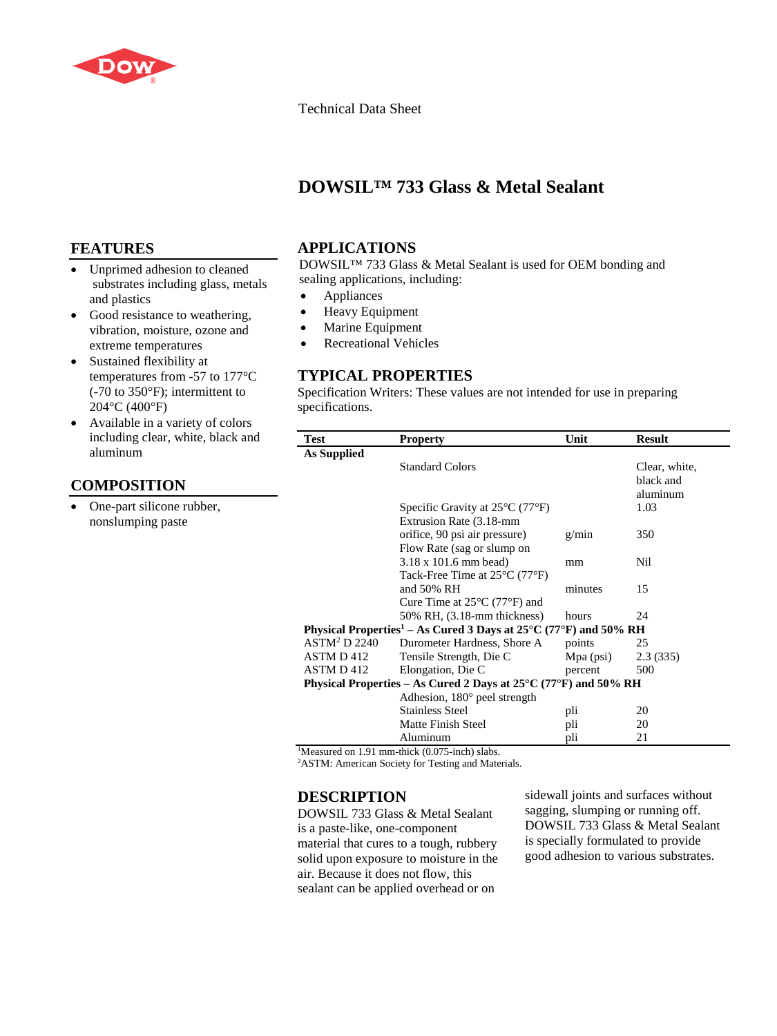

#### Technical Data Sheet

## **DOWSIL™ 733 Glass & Metal Sealant**

## **FEATURES**

- Unprimed adhesion to cleaned substrates including glass, metals and plastics
- Good resistance to weathering, vibration, moisture, ozone and extreme temperatures
- Sustained flexibility at temperatures from -57 to 177°C (-70 to 350°F); intermittent to 204°C (400°F)
- Available in a variety of colors including clear, white, black and aluminum

## **COMPOSITION**

• One-part silicone rubber, nonslumping paste

#### **APPLICATIONS**

DOWSIL™ 733 Glass & Metal Sealant is used for OEM bonding and sealing applications, including:

- Appliances
- Heavy Equipment
- Marine Equipment
- Recreational Vehicles

## **TYPICAL PROPERTIES**

Specification Writers: These values are not intended for use in preparing specifications.

| Test                                                                                                | <b>Property</b>                                      | Unit        | <b>Result</b> |
|-----------------------------------------------------------------------------------------------------|------------------------------------------------------|-------------|---------------|
| As Supplied                                                                                         |                                                      |             |               |
|                                                                                                     | <b>Standard Colors</b>                               |             | Clear, white, |
|                                                                                                     |                                                      |             | black and     |
|                                                                                                     |                                                      |             | aluminum      |
|                                                                                                     | Specific Gravity at $25^{\circ}$ C (77 $^{\circ}$ F) |             | 1.03          |
|                                                                                                     | Extrusion Rate (3.18-mm)                             |             |               |
|                                                                                                     | orifice, 90 psi air pressure)                        | g/min       | 350           |
|                                                                                                     | Flow Rate (sag or slump on                           |             |               |
|                                                                                                     | $3.18 \times 101.6$ mm bead)                         | mm          | Nil           |
|                                                                                                     | Tack-Free Time at $25^{\circ}$ C (77 $^{\circ}$ F)   |             |               |
|                                                                                                     | and 50% RH                                           | minutes     | 15            |
|                                                                                                     | Cure Time at $25^{\circ}$ C (77 $^{\circ}$ F) and    |             |               |
|                                                                                                     | 50% RH, (3.18-mm thickness)                          | hours       | 24            |
| Physical Properties <sup>1</sup> – As Cured 3 Days at $25^{\circ}$ C (77 <sup>o</sup> F) and 50% RH |                                                      |             |               |
| <b>ASTM<sup>2</sup> D 2240</b>                                                                      | Durometer Hardness, Shore A                          | points      | 25            |
| ASTM D 412                                                                                          | Tensile Strength, Die C                              | $Mpa$ (psi) | 2.3(335)      |
| ASTM D 412                                                                                          | Elongation, Die C                                    | percent     | 500           |
| Physical Properties – As Cured 2 Days at $25^{\circ}$ C (77 $^{\circ}$ F) and 50% RH                |                                                      |             |               |
|                                                                                                     | Adhesion, 180° peel strength                         |             |               |
|                                                                                                     | <b>Stainless Steel</b>                               | pli         | 20            |
|                                                                                                     | <b>Matte Finish Steel</b>                            | pli         | 20            |
|                                                                                                     | Aluminum                                             | pli         | 21            |

<sup>1</sup>Measured on 1.91 mm-thick (0.075-inch) slabs.

<sup>2</sup>ASTM: American Society for Testing and Materials.

#### **DESCRIPTION**

DOWSIL 733 Glass & Metal Sealant is a paste-like, one-component material that cures to a tough, rubbery solid upon exposure to moisture in the air. Because it does not flow, this sealant can be applied overhead or on

sidewall joints and surfaces without sagging, slumping or running off. DOWSIL 733 Glass & Metal Sealant is specially formulated to provide good adhesion to various substrates.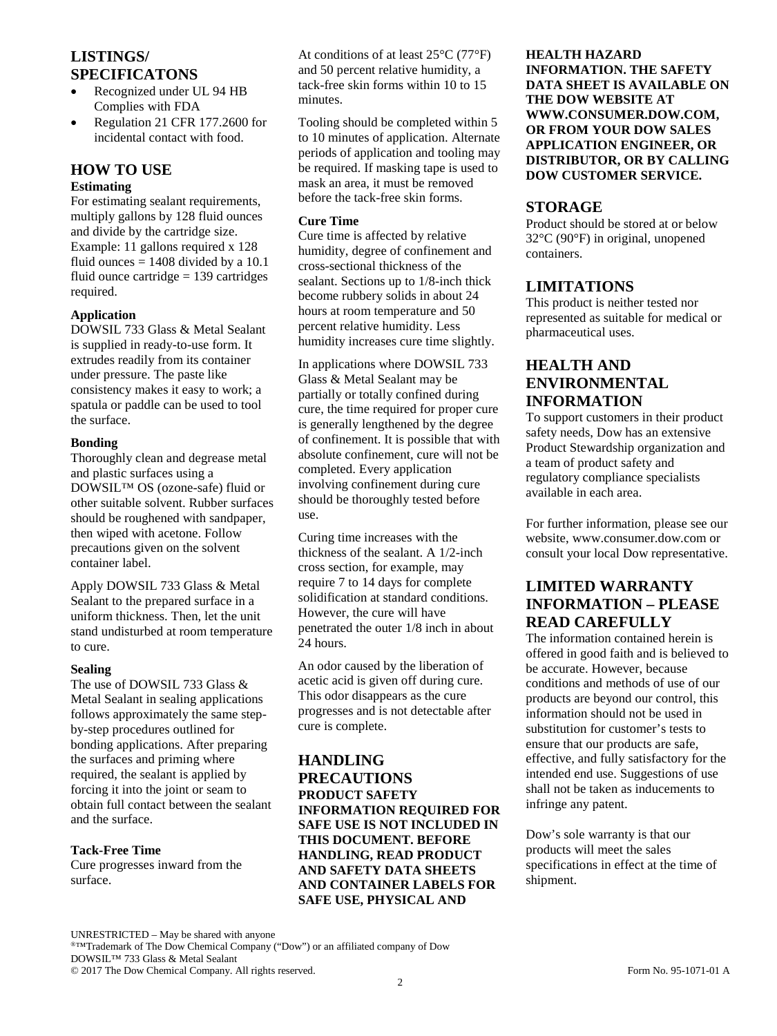## **LISTINGS/ SPECIFICATONS**

- Recognized under UL 94 HB Complies with FDA
- Regulation 21 CFR 177.2600 for incidental contact with food.

# **HOW TO USE**

## **Estimating**

For estimating sealant requirements, multiply gallons by 128 fluid ounces and divide by the cartridge size. Example: 11 gallons required x 128 fluid ounces  $= 1408$  divided by a 10.1 fluid ounce cartridge  $= 139$  cartridges required.

#### **Application**

DOWSIL 733 Glass & Metal Sealant is supplied in ready-to-use form. It extrudes readily from its container under pressure. The paste like consistency makes it easy to work; a spatula or paddle can be used to tool the surface.

#### **Bonding**

Thoroughly clean and degrease metal and plastic surfaces using a DOWSIL™ OS (ozone-safe) fluid or other suitable solvent. Rubber surfaces should be roughened with sandpaper, then wiped with acetone. Follow precautions given on the solvent container label.

Apply DOWSIL 733 Glass & Metal Sealant to the prepared surface in a uniform thickness. Then, let the unit stand undisturbed at room temperature to cure.

#### **Sealing**

The use of DOWSIL 733 Glass & Metal Sealant in sealing applications follows approximately the same stepby-step procedures outlined for bonding applications. After preparing the surfaces and priming where required, the sealant is applied by forcing it into the joint or seam to obtain full contact between the sealant and the surface.

#### **Tack-Free Time**

Cure progresses inward from the surface.

At conditions of at least 25°C (77°F) and 50 percent relative humidity, a tack-free skin forms within 10 to 15 minutes.

Tooling should be completed within 5 to 10 minutes of application. Alternate periods of application and tooling may be required. If masking tape is used to mask an area, it must be removed before the tack-free skin forms.

#### **Cure Time**

Cure time is affected by relative humidity, degree of confinement and cross-sectional thickness of the sealant. Sections up to 1/8-inch thick become rubbery solids in about 24 hours at room temperature and 50 percent relative humidity. Less humidity increases cure time slightly.

In applications where DOWSIL 733 Glass & Metal Sealant may be partially or totally confined during cure, the time required for proper cure is generally lengthened by the degree of confinement. It is possible that with absolute confinement, cure will not be completed. Every application involving confinement during cure should be thoroughly tested before use.

Curing time increases with the thickness of the sealant. A 1/2-inch cross section, for example, may require 7 to 14 days for complete solidification at standard conditions. However, the cure will have penetrated the outer 1/8 inch in about 24 hours.

An odor caused by the liberation of acetic acid is given off during cure. This odor disappears as the cure progresses and is not detectable after cure is complete.

**HANDLING PRECAUTIONS PRODUCT SAFETY INFORMATION REQUIRED FOR SAFE USE IS NOT INCLUDED IN THIS DOCUMENT. BEFORE HANDLING, READ PRODUCT AND SAFETY DATA SHEETS AND CONTAINER LABELS FOR SAFE USE, PHYSICAL AND** 

**HEALTH HAZARD INFORMATION. THE SAFETY DATA SHEET IS AVAILABLE ON THE DOW WEBSITE AT WWW.CONSUMER.DOW.COM, OR FROM YOUR DOW SALES APPLICATION ENGINEER, OR DISTRIBUTOR, OR BY CALLING DOW CUSTOMER SERVICE.**

### **STORAGE**

Product should be stored at or below 32°C (90°F) in original, unopened containers.

#### **LIMITATIONS**

This product is neither tested nor represented as suitable for medical or pharmaceutical uses.

## **HEALTH AND ENVIRONMENTAL INFORMATION**

To support customers in their product safety needs, Dow has an extensive Product Stewardship organization and a team of product safety and regulatory compliance specialists available in each area.

For further information, please see our website, www.consumer.dow.com or consult your local Dow representative.

## **LIMITED WARRANTY INFORMATION – PLEASE READ CAREFULLY**

The information contained herein is offered in good faith and is believed to be accurate. However, because conditions and methods of use of our products are beyond our control, this information should not be used in substitution for customer's tests to ensure that our products are safe, effective, and fully satisfactory for the intended end use. Suggestions of use shall not be taken as inducements to infringe any patent.

Dow's sole warranty is that our products will meet the sales specifications in effect at the time of shipment.

UNRESTRICTED – May be shared with anyone ®™Trademark of The Dow Chemical Company ("Dow") or an affiliated company of Dow DOWSIL™ 733 Glass & Metal Sealant © 2017 The Dow Chemical Company. All rights reserved. Form No. 95-1071-01 A